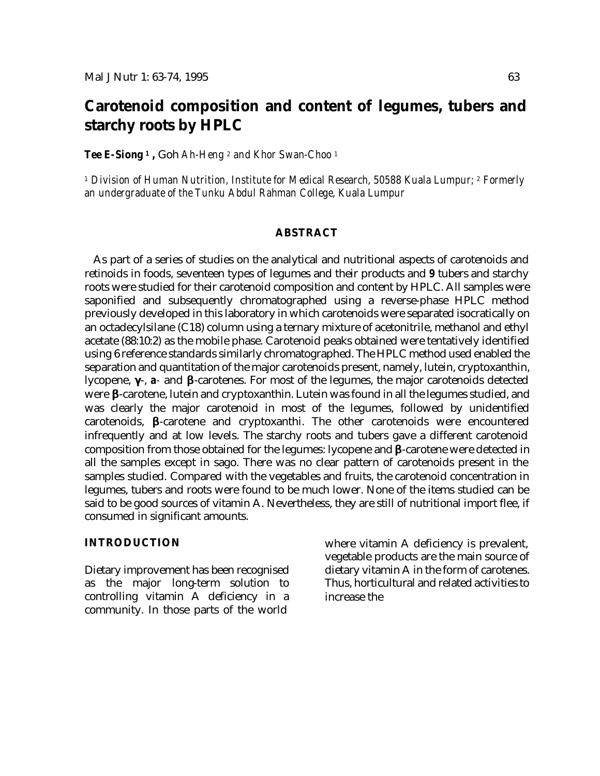# **Carotenoid composition and content of legumes, tubers and starchy roots by HPLC**

*Tee E-Siong <sup>1</sup> ,* Goh *Ah-Heng <sup>2</sup> and Khor Swan-Choo <sup>1</sup>*

*<sup>1</sup> Division of Human Nutrition, Institute for Medical Research, 50588 Kuala Lumpur; <sup>2</sup> Formerly an undergraduate of the Tunku Abdul Rahman College, Kuala Lumpur*

#### **ABSTRACT**

As part of a series of studies on the analytical and nutritional aspects of carotenoids and retinoids in foods, seventeen types of legumes and their products and *9* tubers and starchy roots were studied for their carotenoid composition and content by HPLC. All samples were saponified and subsequently chromatographed using a reverse-phase HPLC method previously developed in this laboratory in which carotenoids were separated isocratically on an octadecylsilane (C18) column using a ternary mixture of acetonitrile, methanol and ethyl acetate (88:10:2) as the mobile phase. Carotenoid peaks obtained were tentatively identified using 6 reference standards similarly chromatographed. The HPLC method used enabled the separation and quantitation of the major carotenoids present, namely, lutein, cryptoxanthin, lycopene, **g**-, *a-* and **b**-carotenes. For most of the legumes, the major carotenoids detected were **b**-carotene, lutein and cryptoxanthin. Lutein was found in all the legumes studied, and was clearly the major carotenoid in most of the legumes, followed by unidentified carotenoids, **b**-carotene and cryptoxanthi. The other carotenoids were encountered infrequently and at low levels. The starchy roots and tubers gave a different carotenoid composition from those obtained for the legumes: lycopene and **b**-carotene were detected in all the samples except in sago. There was no clear pattern of carotenoids present in the samples studied. Compared with the vegetables and fruits, the carotenoid concentration in legumes, tubers and roots were found to be much lower. None of the items studied can be said to be good sources of vitamin A. Nevertheless, they are still of nutritional import flee, if consumed in significant amounts.

#### **INTRODUCTION**

Dietary improvement has been recognised as the major long-term solution to controlling vitamin A deficiency in a community. In those parts of the world

where vitamin A deficiency is prevalent, vegetable products are the main source of dietary vitamin A in the form of carotenes. Thus, horticultural and related activities to increase the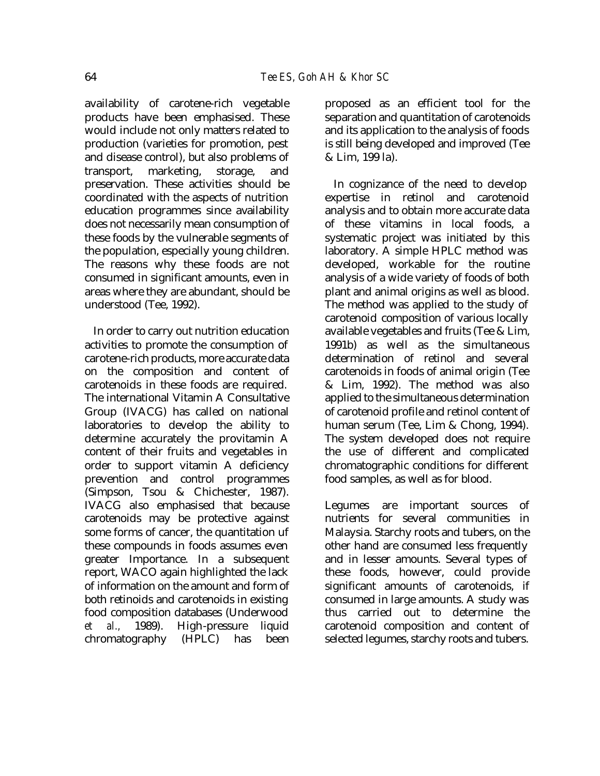availability of carotene-rich vegetable products have been emphasised. These would include not only matters related to production (varieties for promotion, pest and disease control), but also problems of transport, marketing, storage, and preservation. These activities should be coordinated with the aspects of nutrition education programmes since availability does not necessarily mean consumption of these foods by the vulnerable segments of the population, especially young children. The reasons why these foods are not consumed in significant amounts, even in areas where they are abundant, should be understood (Tee, 1992).

In order to carry out nutrition education activities to promote the consumption of carotene-rich products, more accurate data on the composition and content of carotenoids in these foods are required. The international Vitamin A Consultative Group (IVACG) has called on national laboratories to develop the ability to determine accurately the provitamin A content of their fruits and vegetables in order to support vitamin A deficiency prevention and control programmes (Simpson, Tsou & Chichester, 1987). IVACG also emphasised that because carotenoids may be protective against some forms of cancer, the quantitation uf these compounds in foods assumes even greater Importance. In a subsequent report, WACO again highlighted the lack of information on the amount and form of both retinoids and carotenoids in existing food composition databases (Underwood *et al.,* 1989). High-pressure liquid chromatography (HPLC) has been

proposed as an efficient tool for the separation and quantitation of carotenoids and its application to the analysis of foods is still being developed and improved (Tee & Lim, 199 la).

In cognizance of the need to develop expertise in retinol and carotenoid analysis and to obtain more accurate data of these vitamins in local foods, a systematic project was initiated by this laboratory. A simple HPLC method was developed, workable for the routine analysis of a wide variety of foods of both plant and animal origins as well as blood. The method was applied to the study of carotenoid composition of various locally available vegetables and fruits (Tee & Lim, 1991b) as well as the simultaneous determination of retinol and several carotenoids in foods of animal origin (Tee & Lim, 1992). The method was also applied to the simultaneous determination of carotenoid profile and retinol content of human serum (Tee, Lim & Chong, 1994). The system developed does not require the use of different and complicated chromatographic conditions for different food samples, as well as for blood.

Legumes are important sources of nutrients for several communities in Malaysia. Starchy roots and tubers, on the other hand are consumed less frequently and in lesser amounts. Several types of these foods, however, could provide significant amounts of carotenoids, if consumed in large amounts. A study was thus carried out to determine the carotenoid composition and content of selected legumes, starchy roots and tubers.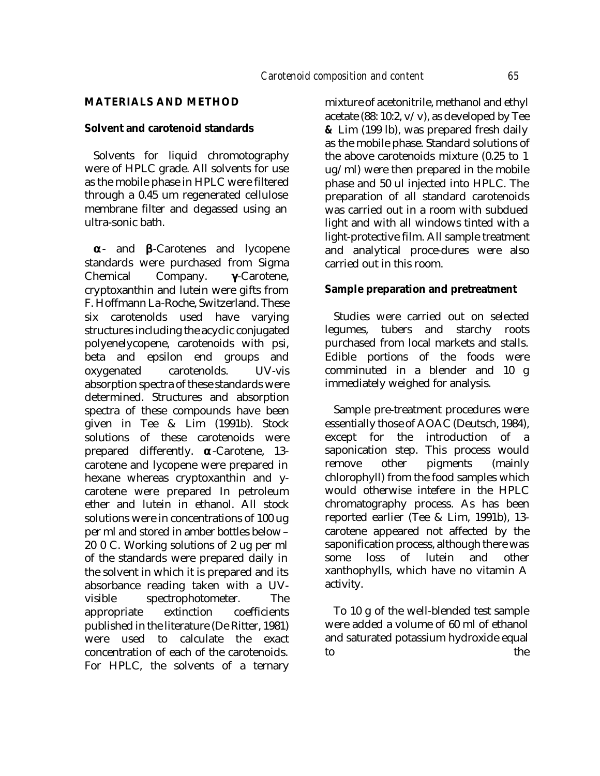#### **MATERIALS AND METHOD**

#### **Solvent and carotenoid standards**

Solvents for liquid chromotography were of HPLC grade. All solvents for use as the mobile phase in HPLC were filtered through a 0.45 um regenerated cellulose membrane filter and degassed using an ultra-sonic bath.

**a**- and **b**-Carotenes and lycopene standards were purchased from Sigma Chemical Company. **g**-Carotene, cryptoxanthin and lutein were gifts from F. Hoffmann La-Roche, Switzerland. These six carotenolds used have varying structures including the acyclic conjugated polyenelycopene, carotenoids with psi, beta and epsilon end groups and oxygenated carotenolds. UV-vis absorption spectra of these standards were determined. Structures and absorption spectra of these compounds have been given in Tee & Lim (1991b). Stock solutions of these carotenoids were prepared differently. **a**-Carotene, 13 carotene and lycopene were prepared in hexane whereas cryptoxanthin and ycarotene were prepared In petroleum ether and lutein in ethanol. All stock solutions were in concentrations of 100 ug per ml and stored in amber bottles below – 20 0 C. Working solutions of 2 ug per ml of the standards were prepared daily in the solvent in which it is prepared and its absorbance reading taken with a UVvisible spectrophotometer. The appropriate extinction coefficients published in the literature (De Ritter, 1981) were used to calculate the exact concentration of each of the carotenoids. For HPLC, the solvents of a ternary

mixture of acetonitrile, methanol and ethyl acetate (88: 10:2,  $v/v$ ), as developed by Tee *&* Lim (199 lb), was prepared fresh daily as the mobile phase. Standard solutions of the above carotenoids mixture (0.25 to 1 ug/ml) were then prepared in the mobile phase and 50 ul injected into HPLC. The preparation of all standard carotenoids was carried out in a room with subdued light and with all windows tinted with a light-protective film. All sample treatment and analytical proce-dures were also carried out in this room.

#### **Sample preparation and pretreatment**

Studies were carried out on selected legumes, tubers and starchy roots purchased from local markets and stalls. Edible portions of the foods were comminuted in a blender and 10 g immediately weighed for analysis.

Sample pre-treatment procedures were essentially those of AOAC (Deutsch, 1984), except for the introduction of a saponication step. This process would remove other pigments (mainly chlorophyll) from the food samples which would otherwise intefere in the HPLC chromatography process. As has been reported earlier (Tee & Lim, 1991b), 13 carotene appeared not affected by the saponification process, although there was some loss of lutein and other xanthophylls, which have no vitamin A activity.

To 10 g of the well-blended test sample were added a volume of 60 ml of ethanol and saturated potassium hydroxide equal to the the state of  $\mathbf{t}$  the state of  $\mathbf{t}$  the state of  $\mathbf{t}$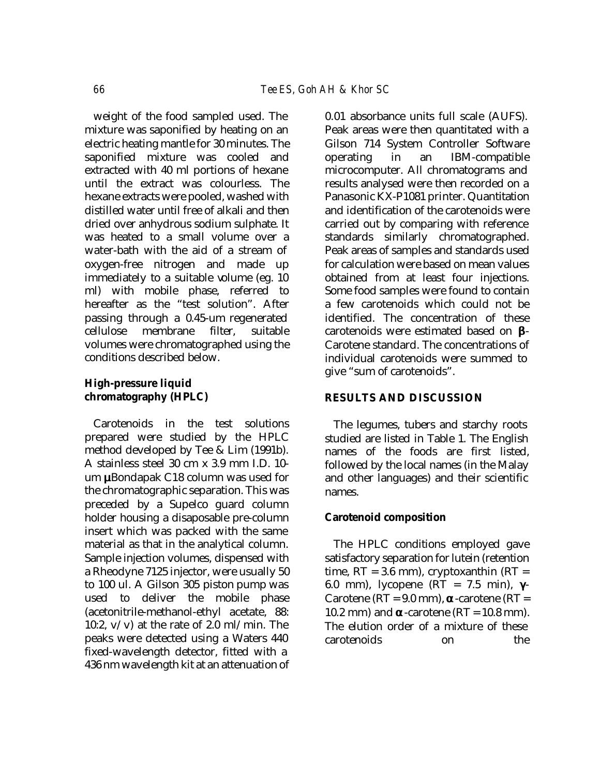weight of the food sampled used. The mixture was saponified by heating on an electric heating mantle for 30 minutes. The saponified mixture was cooled and extracted with 40 ml portions of hexane until the extract was colourless. The hexane extracts were pooled, washed with distilled water until free of alkali and then dried over anhydrous sodium sulphate. It was heated to a small volume over a water-bath with the aid of a stream of oxygen-free nitrogen and made up immediately to a suitable volume (eg. 10 ml) with mobile phase, referred to hereafter as the "test solution". After passing through a 0.45-um regenerated cellulose membrane filter, suitable volumes were chromatographed using the conditions described below.

## **High-pressure liquid chromatography (HPLC)**

Carotenoids in the test solutions prepared were studied by the HPLC method developed by Tee & Lim (1991b). A stainless steel 30 cm x 3.9 mm I.D. 10 um **m**Bondapak C18 column was used for the chromatographic separation. This was preceded by a Supelco guard column holder housing a disaposable pre-column insert which was packed with the same material as that in the analytical column. Sample injection volumes, dispensed with a Rheodyne 7125 injector, were usually 50 to 100 ul. A Gilson 305 piston pump was used to deliver the mobile phase (acetonitrile-methanol-ethyl acetate, 88: 10:2,  $v/v$  at the rate of 2.0 ml/min. The peaks were detected using a Waters 440 fixed-wavelength detector, fitted with a 436 nm wavelength kit at an attenuation of 0.01 absorbance units full scale (AUFS). Peak areas were then quantitated with a Gilson 714 System Controller Software operating in an IBM-compatible microcomputer. All chromatograms and results analysed were then recorded on a Panasonic KX-P1081 printer. Quantitation and identification of the carotenoids were carried out by comparing with reference standards similarly chromatographed. Peak areas of samples and standards used for calculation were based on mean values obtained from at least four injections. Some food samples were found to contain a few carotenoids which could not be identified. The concentration of these carotenoids were estimated based on **b**-Carotene standard. The concentrations of individual carotenoids were summed to give "sum of carotenoids".

## **RESULTS AND DISCUSSION**

The legumes, tubers and starchy roots studied are listed in Table 1. The English names of the foods are first listed, followed by the local names (in the Malay and other languages) and their scientific names.

## **Carotenoid composition**

The HPLC conditions employed gave satisfactory separation for lutein (retention time,  $RT = 3.6$  mm), cryptoxanthin  $(RT =$ 6.0 mm), lycopene (RT = 7.5 min), **g**-Carotene ( $RT = 9.0$  mm), **a**-carotene ( $RT =$ 10.2 mm) and  $\alpha$ -carotene (RT = 10.8 mm). The elution order of a mixture of these carotenoids on the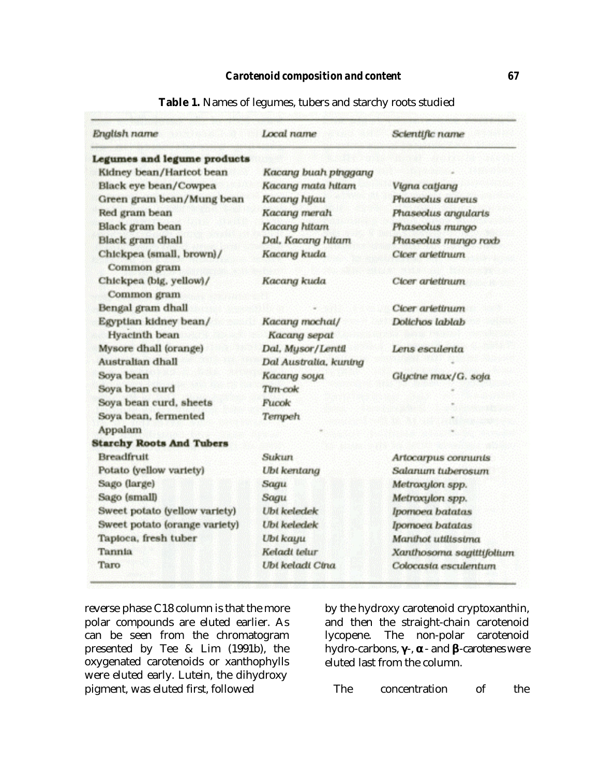| English name                            | Local name                     | Scientific name          |
|-----------------------------------------|--------------------------------|--------------------------|
| Legumes and legume products             |                                |                          |
| Kidney bean/Haricot bean                | Kacang buah pinggang           |                          |
| Black eye bean/Cowpea                   | Kacang mata hitam              | Vigna catjang            |
| Green gram bean/Mung bean               | Kacang hijau                   | Phaseolus aureus         |
| Red gram bean                           | Kacang merah                   | Phaseolus angularis      |
| Black gram bean                         | Kacang hitam                   | Phaseolus mungo          |
| Black gram dhall                        | Dal, Kacang hitam              | Phaseolus mungo roxb     |
| Chickpea (small, brown)/<br>Common gram | Kacang kuda                    | Clcer arlettnum          |
| Chickpea (big, yellow)/<br>Common gram  | Kacang kuda                    | Cloer arletinum          |
| Bengal gram dhall                       |                                | Cicer arietinum          |
| Egyptian kidney bean/<br>Hyacinth bean  | Kacang mochal/<br>Kacang sepat | Dolichos lablab          |
| Mysore dhall (orange)                   | Dal, Mysor/Lentil              | Lens esculenta           |
| Australian dhall                        | Dal Australia, kuning          |                          |
| Soya bean                               | Kacang soya                    | Glycine max/G. soja      |
| Soya bean curd                          | Tim-cok                        |                          |
| Soya bean curd, sheets                  | Fucok                          |                          |
| Soya bean, fermented                    | Tempeh                         |                          |
| Appalam                                 |                                |                          |
| <b>Starchy Roots And Tubers</b>         |                                |                          |
| <b>Breadfruit</b>                       | Sukun                          | Artocarpus connunts      |
| Potato (yellow variety)                 | <b>Ubt</b> kentang             | Salanum tuberosum        |
| Sago (large)                            | Sagu                           | Metroxylon spp.          |
| Sago (small)                            | Sagu                           | Metroxylon spp.          |
| Sweet potato (yellow variety)           | Ubi keledek                    | Ipomoea batatas          |
| Sweet potato (orange variety)           | <b>Ubi</b> keledek             | Ipomoea batatas          |
| Tapioca, fresh tuber                    | Ubi kayu                       | Manthot utilissima       |
| Tannia                                  | Keladi telur                   | Xanthosoma sagittifolium |
| Taro                                    | Ubi keladi Cina                | Colocasia esculentum     |

**Table 1.** Names of legumes, tubers and starchy roots studied

reverse phase C18 column is that the more polar compounds are eluted earlier. As can be seen from the chromatogram presented by Tee & Lim (1991b), the oxygenated carotenoids or xanthophylls were eluted early. Lutein, the dihydroxy pigment, was eluted first, followed

by the hydroxy carotenoid cryptoxanthin, and then the straight-chain carotenoid lycopene. The non-polar carotenoid hydro-carbons, **g**-, **a**- and **b**-carotenes were eluted last from the column.

The concentration of the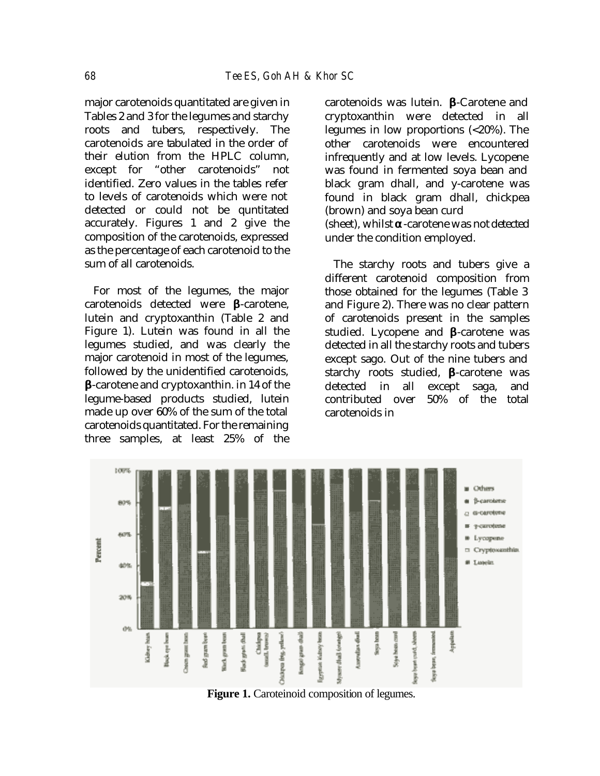major carotenoids quantitated are given in Tables 2 and 3 for the legumes and starchy roots and tubers, respectively. The carotenoids are tabulated in the order of their elution from the HPLC column, except for "other carotenoids" not identified. Zero values in the tables refer to levels of carotenoids which were not detected or could not be quntitated accurately. Figures 1 and 2 give the composition of the carotenoids, expressed as the percentage of each carotenoid to the sum of all carotenoids.

For most of the legumes, the major carotenoids detected were **b**-carotene, lutein and cryptoxanthin (Table 2 and Figure 1). Lutein was found in all the legumes studied, and was clearly the major carotenoid in most of the legumes, followed by the unidentified carotenoids, **b**-carotene and cryptoxanthin. in 14 of the legume-based products studied, lutein made up over 60% of the sum of the total carotenoids quantitated. For the remaining three samples, at least 25% of the

carotenoids was lutein. **b**-Carotene and cryptoxanthin were detected in all legumes in low proportions (<20%). The other carotenoids were encountered infrequently and at low levels. Lycopene was found in fermented soya bean and black gram dhall, and y-carotene was found in black gram dhall, chickpea (brown) and soya bean curd (sheet), whilst **a**-carotene was not detected under the condition employed.

The starchy roots and tubers give a different carotenoid composition from those obtained for the legumes (Table 3 and Figure 2). There was no clear pattern of carotenoids present in the samples studied. Lycopene and **b**-carotene was detected in all the starchy roots and tubers except sago. Out of the nine tubers and starchy roots studied, **b**-carotene was detected in all except saga, and contributed over 50% of the total carotenoids in



**Figure 1.** Caroteinoid composition of legumes.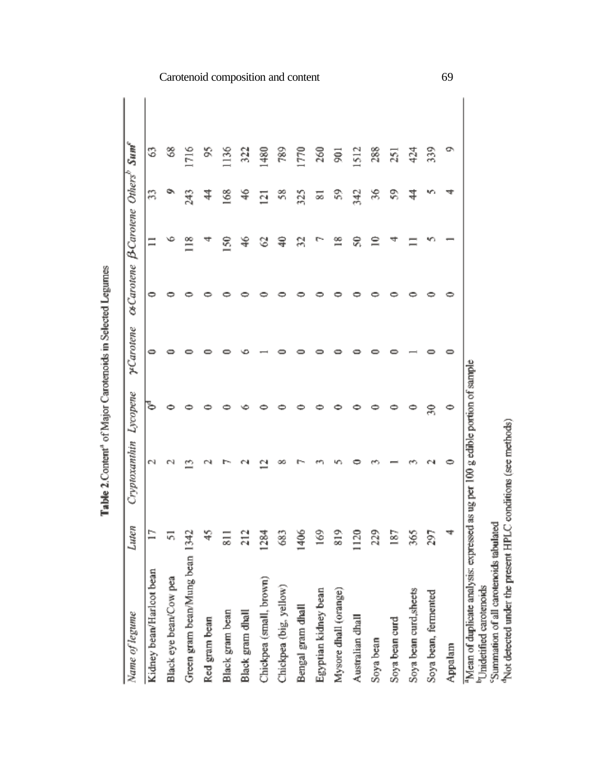| Name of legume                                                                 | Luten               | Cryptoxanthin | Lycopene | yCarotene | csCarotene B-Carotene Others® |     | Sum <sup>e</sup> |
|--------------------------------------------------------------------------------|---------------------|---------------|----------|-----------|-------------------------------|-----|------------------|
| Kidney bean/Harlcot bean                                                       |                     | N             | ъ        |           |                               | Ξ   | S                |
| Black eye bean/Cow pea                                                         | ίñ,                 |               |          |           |                               |     | 3                |
| Green gram bean/Mung bean 134.                                                 |                     |               |          |           |                               | 243 | 1716             |
| Red gram bean                                                                  | ₩                   |               |          |           |                               | ⋣   | S,               |
| Black gram bean                                                                | $\overline{\infty}$ |               |          |           | $\frac{50}{2}$                | 168 | 1136             |
| Black gram dhall                                                               | ਸ਼                  |               |          |           | ≆                             | Ş   | 322              |
| Chickpea (small, brown)                                                        | 1284                |               |          |           | 8                             | Ξ   | 1480             |
| Chickpea (big, yellow)                                                         | Ë                   |               |          |           | ੩                             | 38  | 789              |
| Bengal gram dhall                                                              | $\frac{3}{4}$       |               |          |           | R                             | 325 | 1770             |
| Egyptian kidney bean                                                           | ≌                   |               |          |           |                               | 55  | 260              |
| Mysore dhall (orange)                                                          | $\frac{8}{100}$     |               |          |           | ≌                             | 宕   | ā                |
| Australian dhall                                                               | $\frac{12}{5}$      |               |          |           | ೪                             | 342 | 1512             |
| Soya bean                                                                      | ŽŠ,                 |               |          |           | ≘                             | 36  | 288              |
| Soya bean curd                                                                 | ≊                   |               |          |           |                               | \$  | 251              |
| Soya bean curd, sheets                                                         | Š                   |               |          |           |                               | ₹   | 424              |
| Soya bean, fermented                                                           | Ż                   |               | Z        |           |                               |     | 339              |
| Appalam                                                                        |                     |               | 0        |           |                               |     | o                |
| Mean of duplicate analysis: expressed as ug per 100 g edible portion of sample |                     |               |          |           |                               |     |                  |

Table 2. Content<sup>4</sup> of Major Carotenoids in Selected Legumes

Carotenoid composition and content 69

pressure compresses analysis, expressed as us per row is converported carrier distributed<br>"Summation of all carotenoids tabulated<br>"Not detected under the present HPLC conditions (see methods)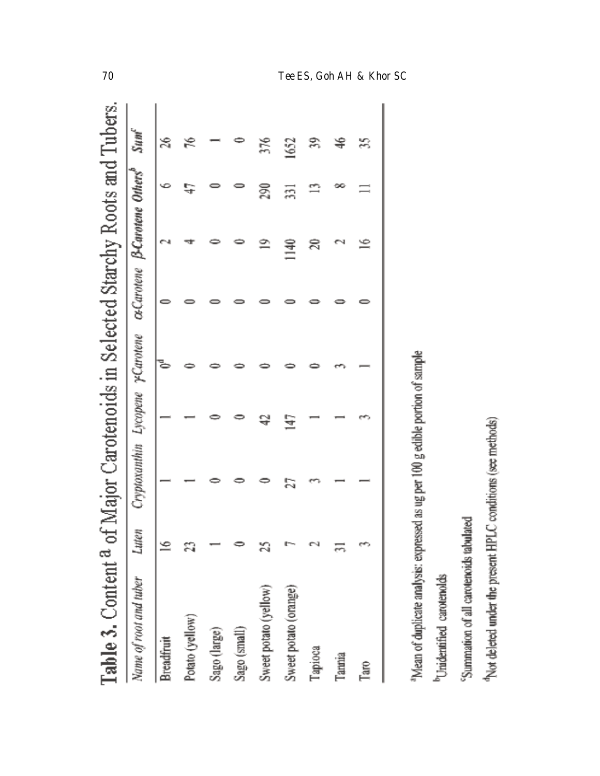| Name of root and tuber<br>Potato (yellow)<br>Breadfruit |         |                                  |    |  |                            |     |                  |
|---------------------------------------------------------|---------|----------------------------------|----|--|----------------------------|-----|------------------|
|                                                         | Luten   | Cryptoxauthin Lycopene yCarotene |    |  | Carotene B-Carotene Others |     | Sun <sup>e</sup> |
|                                                         | $\cong$ |                                  |    |  |                            |     |                  |
|                                                         | នា      |                                  |    |  |                            |     |                  |
| Sago (large)                                            |         |                                  |    |  |                            |     |                  |
| Sago (small)                                            |         |                                  |    |  |                            |     |                  |
| Sweet potato (yellow)                                   |         |                                  |    |  | ≘                          | S)  |                  |
| Sweet potato (orange)                                   |         | h.<br>N                          | বৈ |  | 第二                         | ភ្ន | 1652             |
| Таріоса                                                 |         |                                  |    |  | ន                          |     |                  |
| Tannia                                                  |         |                                  |    |  |                            |     | ş                |
| Taro                                                    |         |                                  |    |  | ≌                          | $=$ |                  |

| I      | Ű, |
|--------|----|
|        |    |
| į      |    |
|        | ś  |
|        |    |
|        | ŋ. |
| Î      |    |
| Ş      |    |
|        | ŗ  |
|        |    |
|        | ė  |
|        |    |
|        |    |
|        |    |
|        |    |
| ו<br>ו | d  |
|        |    |
|        |    |
| в      |    |
| j<br>ī |    |

<sup>b</sup>Unidentified caroteroids

Summation of all carotenoids tabulated

Alor deleted under the present HPLC conditions (see methods)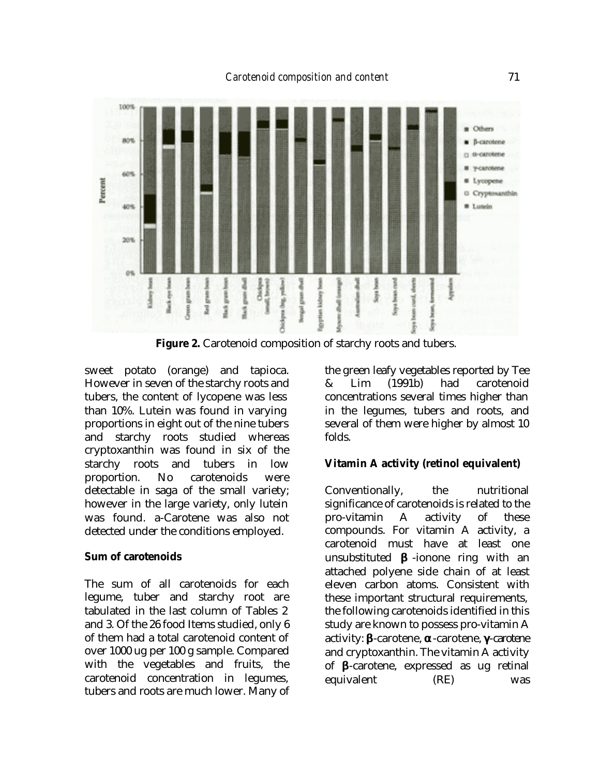

**Figure 2.** Carotenoid composition of starchy roots and tubers.

sweet potato (orange) and tapioca. However in seven of the starchy roots and tubers, the content of lycopene was less than 10%. Lutein was found in varying proportions in eight out of the nine tubers and starchy roots studied whereas cryptoxanthin was found in six of the starchy roots and tubers in low proportion. No carotenoids were detectable in saga of the small variety; however in the large variety, only lutein was found. a-Carotene was also not detected under the conditions employed.

## **Sum of carotenoids**

The sum of all carotenoids for each legume, tuber and starchy root are tabulated in the last column of Tables 2 and 3. Of the 26 food Items studied, only 6 of them had a total carotenoid content of over 1000 ug per 100 g sample. Compared with the vegetables and fruits, the carotenoid concentration in legumes, tubers and roots are much lower. Many of the green leafy vegetables reported by Tee & Lim (1991b) had carotenoid concentrations several times higher than in the legumes, tubers and roots, and several of them were higher by almost 10 folds.

## **Vitamin A activity (retinol equivalent)**

Conventionally, the nutritional significance of carotenoids is related to the pro-vitamin A activity of these compounds. For vitamin A activity, a carotenoid must have at least one unsubstituted **b** -ionone ring with an attached polyene side chain of at least eleven carbon atoms. Consistent with these important structural requirements, the following carotenoids identified in this study are known to possess pro-vitamin A activity: **b**-carotene, **a**-carotene, **g**-carotene and cryptoxanthin. The vitamin A activity of **b**-carotene, expressed as ug retinal equivalent (RE) was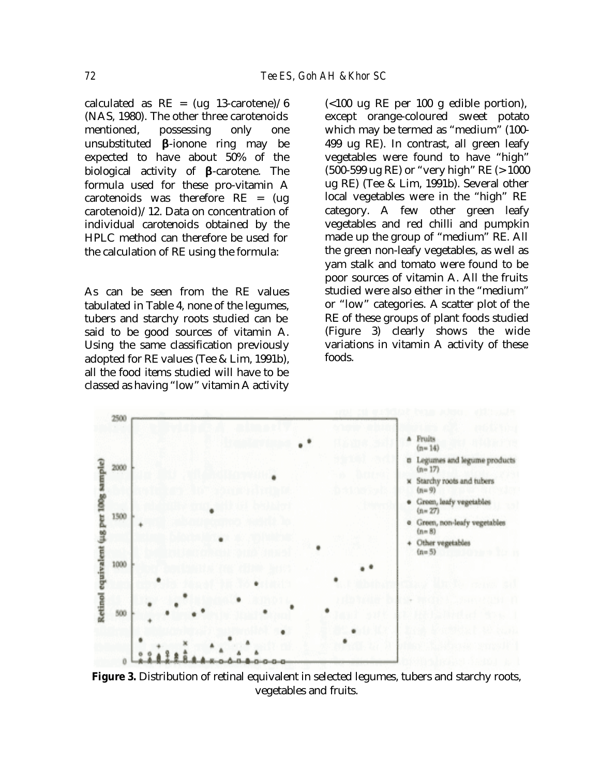calculated as  $RE = (ug 13-carotene)/6$ (NAS, 1980). The other three carotenoids mentioned, possessing only one unsubstituted **b**-ionone ring may be expected to have about 50% of the biological activity of **b**-carotene. The formula used for these pro-vitamin A carotenoids was therefore RE = (ug carotenoid)/12. Data on concentration of individual carotenoids obtained by the HPLC method can therefore be used for the calculation of RE using the formula:

As can be seen from the RE values tabulated in Table 4, none of the legumes, tubers and starchy roots studied can be said to be good sources of vitamin A. Using the same classification previously adopted for RE values (Tee & Lim, 1991b), all the food items studied will have to be classed as having "low" vitamin A activity

(<100 ug RE per 100 g edible portion), except orange-coloured sweet potato which may be termed as "medium" (100- 499 ug RE). In contrast, all green leafy vegetables were found to have "high" (500-599 ug RE) or "very high" RE (> 1000 ug RE) (Tee & Lim, 1991b). Several other local vegetables were in the "high" RE category. A few other green leafy vegetables and red chilli and pumpkin made up the group of "medium" RE. All the green non-leafy vegetables, as well as yam stalk and tomato were found to be poor sources of vitamin A. All the fruits studied were also either in the "medium" or "low" categories. A scatter plot of the RE of these groups of plant foods studied (Figure 3) clearly shows the wide variations in vitamin A activity of these foods.



Figure 3. Distribution of retinal equivalent in selected legumes, tubers and starchy roots, vegetables and fruits.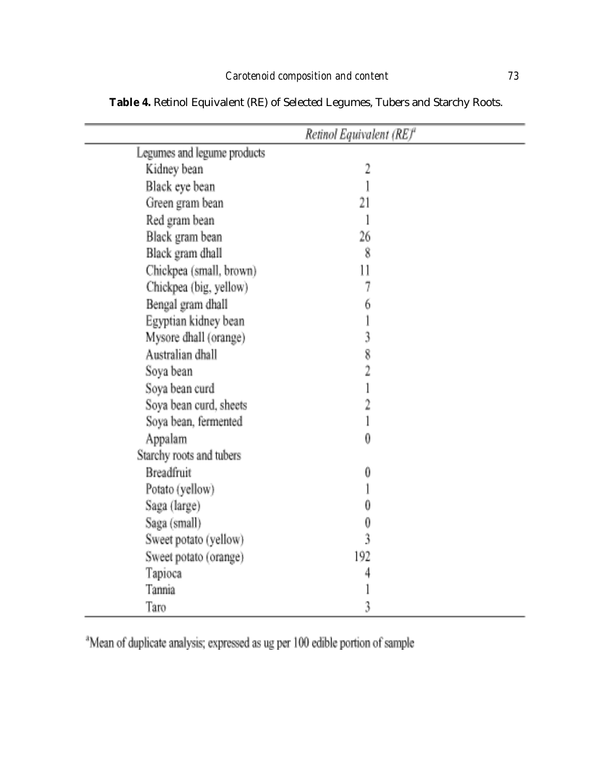|                             | Retinol Equivalent (RE) <sup>4</sup> |
|-----------------------------|--------------------------------------|
| Legumes and legume products |                                      |
| Kidney bean                 | $\overline{2}$                       |
| Black eye bean              |                                      |
| Green gram bean             | 21                                   |
| Red gram bean               | 1                                    |
| Black gram bean             | 26                                   |
| Black gram dhall            | 8                                    |
| Chickpea (small, brown)     | 11                                   |
| Chickpea (big, yellow)      | 7                                    |
| Bengal gram dhall           | 6                                    |
| Egyptian kidney bean        | l                                    |
| Mysore dhall (orange)       | $\mathfrak z$                        |
| Australian dhall            | $\bar{8}$                            |
| Soya bean                   | $\overline{2}$                       |
| Soya bean curd              | ĺ                                    |
| Soya bean curd, sheets      | $\overline{2}$                       |
| Soya bean, fermented        | İ                                    |
| Appalam                     | $\overline{0}$                       |
| Starchy roots and tubers    |                                      |
| <b>Breadfruit</b>           | 0                                    |
| Potato (yellow)             |                                      |
| Saga (large)                | 0                                    |
| Saga (small)                | 0                                    |
| Sweet potato (yellow)       | $\tilde{3}$                          |
| Sweet potato (orange)       | 192                                  |
| Tapioca                     | 4                                    |
| Tannia                      |                                      |
| Taro                        | 3                                    |

**Table 4.** Retinol Equivalent (RE) of Selected Legumes, Tubers and Starchy Roots.

<sup>a</sup>Mean of duplicate analysis; expressed as ug per 100 edible portion of sample